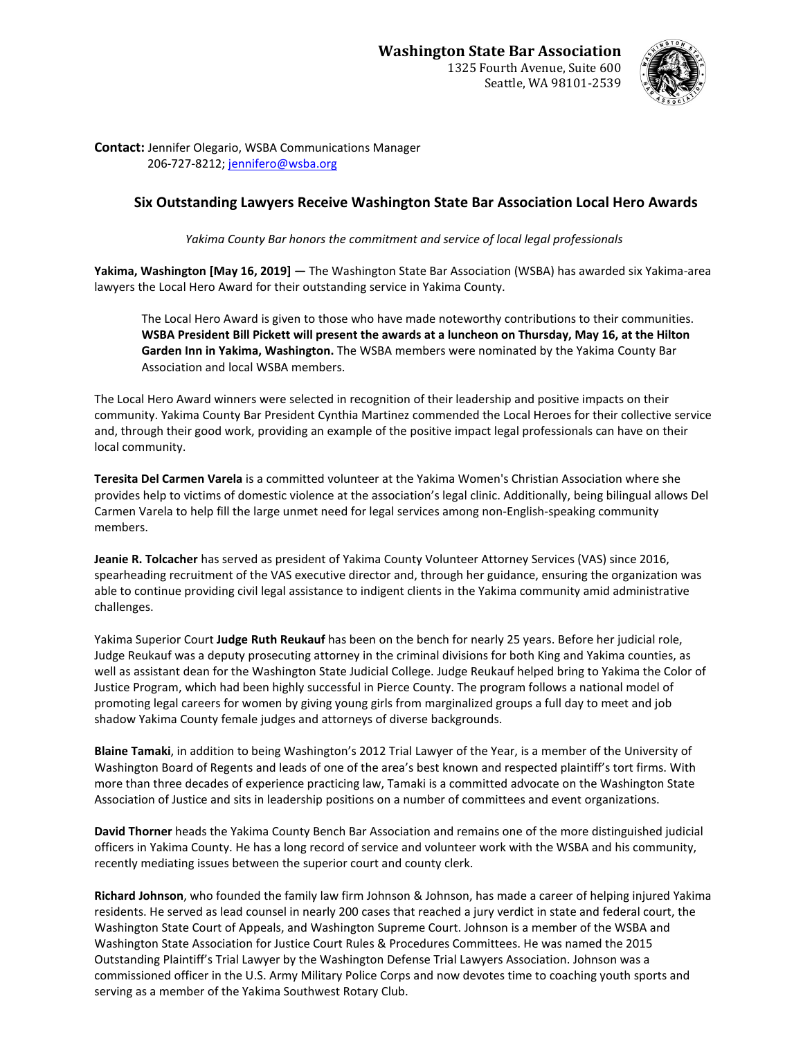

**Contact:** Jennifer Olegario, WSBA Communications Manager 206-727-8212; [jennifero@wsba.org](mailto:jennifero@wsba.org)

## **Six Outstanding Lawyers Receive Washington State Bar Association Local Hero Awards**

*Yakima County Bar honors the commitment and service of local legal professionals*

**Yakima, Washington [May 16, 2019] —** The Washington State Bar Association (WSBA) has awarded six Yakima-area lawyers the Local Hero Award for their outstanding service in Yakima County.

The Local Hero Award is given to those who have made noteworthy contributions to their communities. **WSBA President Bill Pickett will present the awards at a luncheon on Thursday, May 16, at the Hilton Garden Inn in Yakima, Washington.** The WSBA members were nominated by the Yakima County Bar Association and local WSBA members.

The Local Hero Award winners were selected in recognition of their leadership and positive impacts on their community. Yakima County Bar President Cynthia Martinez commended the Local Heroes for their collective service and, through their good work, providing an example of the positive impact legal professionals can have on their local community.

**Teresita Del Carmen Varela** is a committed volunteer at the Yakima Women's Christian Association where she provides help to victims of domestic violence at the association's legal clinic. Additionally, being bilingual allows Del Carmen Varela to help fill the large unmet need for legal services among non-English-speaking community members.

**Jeanie R. Tolcacher** has served as president of Yakima County Volunteer Attorney Services (VAS) since 2016, spearheading recruitment of the VAS executive director and, through her guidance, ensuring the organization was able to continue providing civil legal assistance to indigent clients in the Yakima community amid administrative challenges.

Yakima Superior Court **Judge Ruth Reukauf** has been on the bench for nearly 25 years. Before her judicial role, Judge Reukauf was a deputy prosecuting attorney in the criminal divisions for both King and Yakima counties, as well as assistant dean for the Washington State Judicial College. Judge Reukauf helped bring to Yakima the Color of Justice Program, which had been highly successful in Pierce County. The program follows a national model of promoting legal careers for women by giving young girls from marginalized groups a full day to meet and job shadow Yakima County female judges and attorneys of diverse backgrounds.

**Blaine Tamaki**, in addition to being Washington's 2012 Trial Lawyer of the Year, is a member of the University of Washington Board of Regents and leads of one of the area's best known and respected plaintiff's tort firms. With more than three decades of experience practicing law, Tamaki is a committed advocate on the Washington State Association of Justice and sits in leadership positions on a number of committees and event organizations.

**David Thorner** heads the Yakima County Bench Bar Association and remains one of the more distinguished judicial officers in Yakima County. He has a long record of service and volunteer work with the WSBA and his community, recently mediating issues between the superior court and county clerk.

**Richard Johnson**, who founded the family law firm Johnson & Johnson, has made a career of helping injured Yakima residents. He served as lead counsel in nearly 200 cases that reached a jury verdict in state and federal court, the Washington State Court of Appeals, and Washington Supreme Court. Johnson is a member of the WSBA and Washington State Association for Justice Court Rules & Procedures Committees. He was named the 2015 Outstanding Plaintiff's Trial Lawyer by the Washington Defense Trial Lawyers Association. Johnson was a commissioned officer in the U.S. Army Military Police Corps and now devotes time to coaching youth sports and serving as a member of the Yakima Southwest Rotary Club.